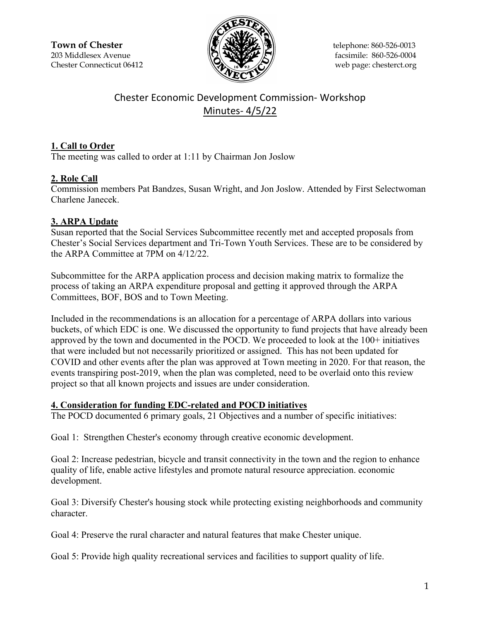**Town of Chester**  $\|\mathcal{F}(\mathbf{N}\| \mathbf{X})\|$  telephone: 860-526-0013 203 Middlesex Avenue  $\binom{2}{2}$   $\binom{3}{2}$   $\binom{4}{2}$  facsimile: 860-526-0004 Chester Connecticut 06412 Web page: chesterct.org



# Chester Economic Development Commission- Workshop Minutes- 4/5/22

## **1. Call to Order**

The meeting was called to order at 1:11 by Chairman Jon Joslow

# **2. Role Call**

Commission members Pat Bandzes, Susan Wright, and Jon Joslow. Attended by First Selectwoman Charlene Janecek.

# **3. ARPA Update**

Susan reported that the Social Services Subcommittee recently met and accepted proposals from Chester's Social Services department and Tri-Town Youth Services. These are to be considered by the ARPA Committee at 7PM on 4/12/22.

Subcommittee for the ARPA application process and decision making matrix to formalize the process of taking an ARPA expenditure proposal and getting it approved through the ARPA Committees, BOF, BOS and to Town Meeting.

Included in the recommendations is an allocation for a percentage of ARPA dollars into various buckets, of which EDC is one. We discussed the opportunity to fund projects that have already been approved by the town and documented in the POCD. We proceeded to look at the 100+ initiatives that were included but not necessarily prioritized or assigned. This has not been updated for COVID and other events after the plan was approved at Town meeting in 2020. For that reason, the events transpiring post-2019, when the plan was completed, need to be overlaid onto this review project so that all known projects and issues are under consideration.

### **4. Consideration for funding EDC-related and POCD initiatives**

The POCD documented 6 primary goals, 21 Objectives and a number of specific initiatives:

Goal 1: Strengthen Chester's economy through creative economic development.

Goal 2: Increase pedestrian, bicycle and transit connectivity in the town and the region to enhance quality of life, enable active lifestyles and promote natural resource appreciation. economic development.

Goal 3: Diversify Chester's housing stock while protecting existing neighborhoods and community character.

Goal 4: Preserve the rural character and natural features that make Chester unique.

Goal 5: Provide high quality recreational services and facilities to support quality of life.